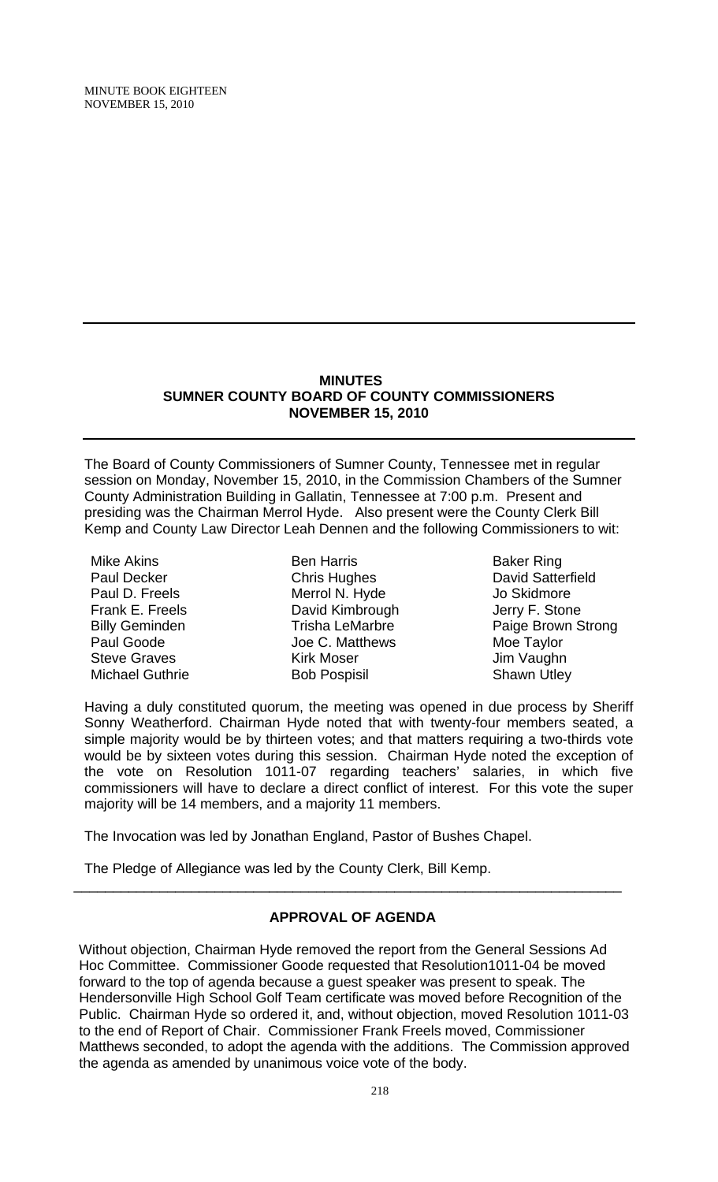#### **MINUTES SUMNER COUNTY BOARD OF COUNTY COMMISSIONERS NOVEMBER 15, 2010**

The Board of County Commissioners of Sumner County, Tennessee met in regular session on Monday, November 15, 2010, in the Commission Chambers of the Sumner County Administration Building in Gallatin, Tennessee at 7:00 p.m. Present and presiding was the Chairman Merrol Hyde. Also present were the County Clerk Bill Kemp and County Law Director Leah Dennen and the following Commissioners to wit:

Mike Akins Paul Decker Paul D. Freels Frank E. Freels Billy Geminden Paul Goode Steve Graves Michael Guthrie

Ben Harris Chris Hughes Merrol N. Hyde David Kimbrough Trisha LeMarbre Joe C. Matthews Kirk Moser Bob Pospisil

Baker Ring David Satterfield Jo Skidmore Jerry F. Stone Paige Brown Strong Moe Taylor Jim Vaughn Shawn Utley

Having a duly constituted quorum, the meeting was opened in due process by Sheriff Sonny Weatherford. Chairman Hyde noted that with twenty-four members seated, a simple majority would be by thirteen votes; and that matters requiring a two-thirds vote would be by sixteen votes during this session. Chairman Hyde noted the exception of the vote on Resolution 1011-07 regarding teachers' salaries, in which five commissioners will have to declare a direct conflict of interest. For this vote the super majority will be 14 members, and a majority 11 members.

The Invocation was led by Jonathan England, Pastor of Bushes Chapel.

The Pledge of Allegiance was led by the County Clerk, Bill Kemp.

## **APPROVAL OF AGENDA**

\_\_\_\_\_\_\_\_\_\_\_\_\_\_\_\_\_\_\_\_\_\_\_\_\_\_\_\_\_\_\_\_\_\_\_\_\_\_\_\_\_\_\_\_\_\_\_\_\_\_\_\_\_\_\_\_\_\_\_\_\_\_\_\_\_\_\_\_\_\_

 Without objection, Chairman Hyde removed the report from the General Sessions Ad Hoc Committee. Commissioner Goode requested that Resolution1011-04 be moved forward to the top of agenda because a guest speaker was present to speak. The Hendersonville High School Golf Team certificate was moved before Recognition of the Public. Chairman Hyde so ordered it, and, without objection, moved Resolution 1011-03 to the end of Report of Chair. Commissioner Frank Freels moved, Commissioner Matthews seconded, to adopt the agenda with the additions. The Commission approved the agenda as amended by unanimous voice vote of the body.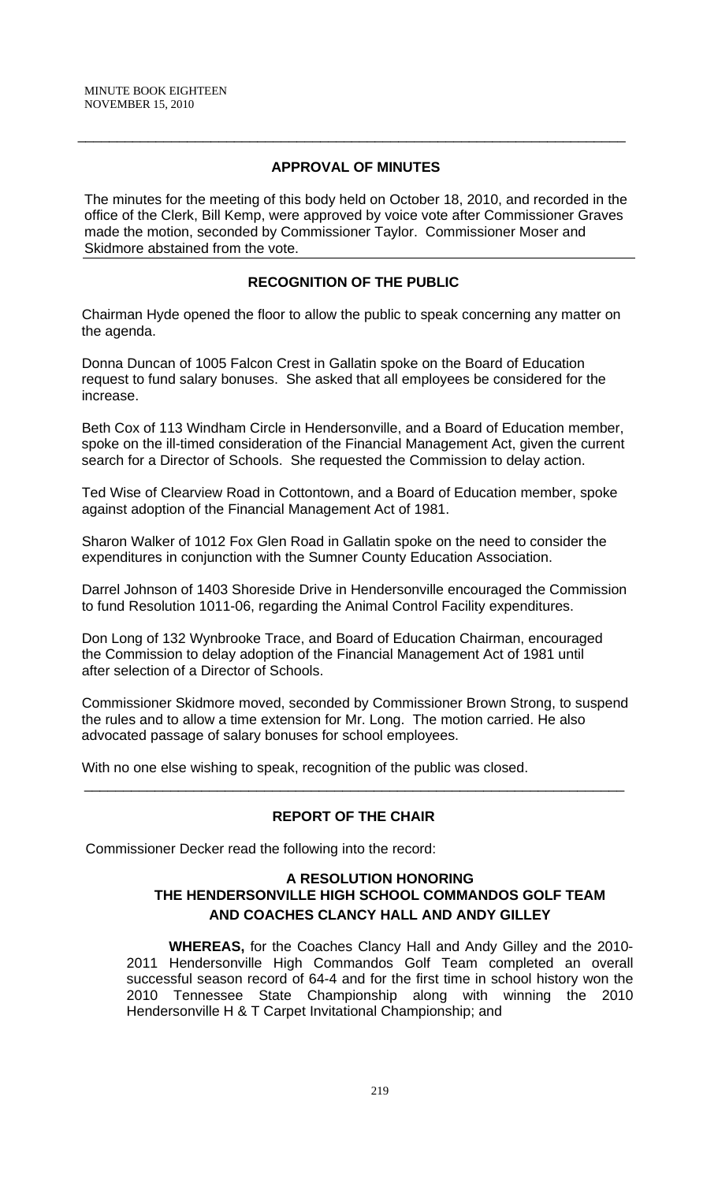## **APPROVAL OF MINUTES**

\_\_\_\_\_\_\_\_\_\_\_\_\_\_\_\_\_\_\_\_\_\_\_\_\_\_\_\_\_\_\_\_\_\_\_\_\_\_\_\_\_\_\_\_\_\_\_\_\_\_\_\_\_\_\_\_\_\_\_\_\_\_\_\_\_\_\_\_\_\_

The minutes for the meeting of this body held on October 18, 2010, and recorded in the office of the Clerk, Bill Kemp, were approved by voice vote after Commissioner Graves made the motion, seconded by Commissioner Taylor. Commissioner Moser and Skidmore abstained from the vote.

# **RECOGNITION OF THE PUBLIC**

 Chairman Hyde opened the floor to allow the public to speak concerning any matter on the agenda.

 Donna Duncan of 1005 Falcon Crest in Gallatin spoke on the Board of Education request to fund salary bonuses. She asked that all employees be considered for the increase.

 Beth Cox of 113 Windham Circle in Hendersonville, and a Board of Education member, spoke on the ill-timed consideration of the Financial Management Act, given the current search for a Director of Schools. She requested the Commission to delay action.

 Ted Wise of Clearview Road in Cottontown, and a Board of Education member, spoke against adoption of the Financial Management Act of 1981.

 Sharon Walker of 1012 Fox Glen Road in Gallatin spoke on the need to consider the expenditures in conjunction with the Sumner County Education Association.

 Darrel Johnson of 1403 Shoreside Drive in Hendersonville encouraged the Commission to fund Resolution 1011-06, regarding the Animal Control Facility expenditures.

 Don Long of 132 Wynbrooke Trace, and Board of Education Chairman, encouraged the Commission to delay adoption of the Financial Management Act of 1981 until after selection of a Director of Schools.

 Commissioner Skidmore moved, seconded by Commissioner Brown Strong, to suspend the rules and to allow a time extension for Mr. Long. The motion carried. He also advocated passage of salary bonuses for school employees.

With no one else wishing to speak, recognition of the public was closed.

# **REPORT OF THE CHAIR**

\_\_\_\_\_\_\_\_\_\_\_\_\_\_\_\_\_\_\_\_\_\_\_\_\_\_\_\_\_\_\_\_\_\_\_\_\_\_\_\_\_\_\_\_\_\_\_\_\_\_\_\_\_\_\_\_\_\_\_\_\_\_\_\_\_\_\_\_\_

Commissioner Decker read the following into the record:

## **A RESOLUTION HONORING THE HENDERSONVILLE HIGH SCHOOL COMMANDOS GOLF TEAM AND COACHES CLANCY HALL AND ANDY GILLEY**

**WHEREAS,** for the Coaches Clancy Hall and Andy Gilley and the 2010- 2011 Hendersonville High Commandos Golf Team completed an overall successful season record of 64-4 and for the first time in school history won the 2010 Tennessee State Championship along with winning the 2010 Hendersonville H & T Carpet Invitational Championship; and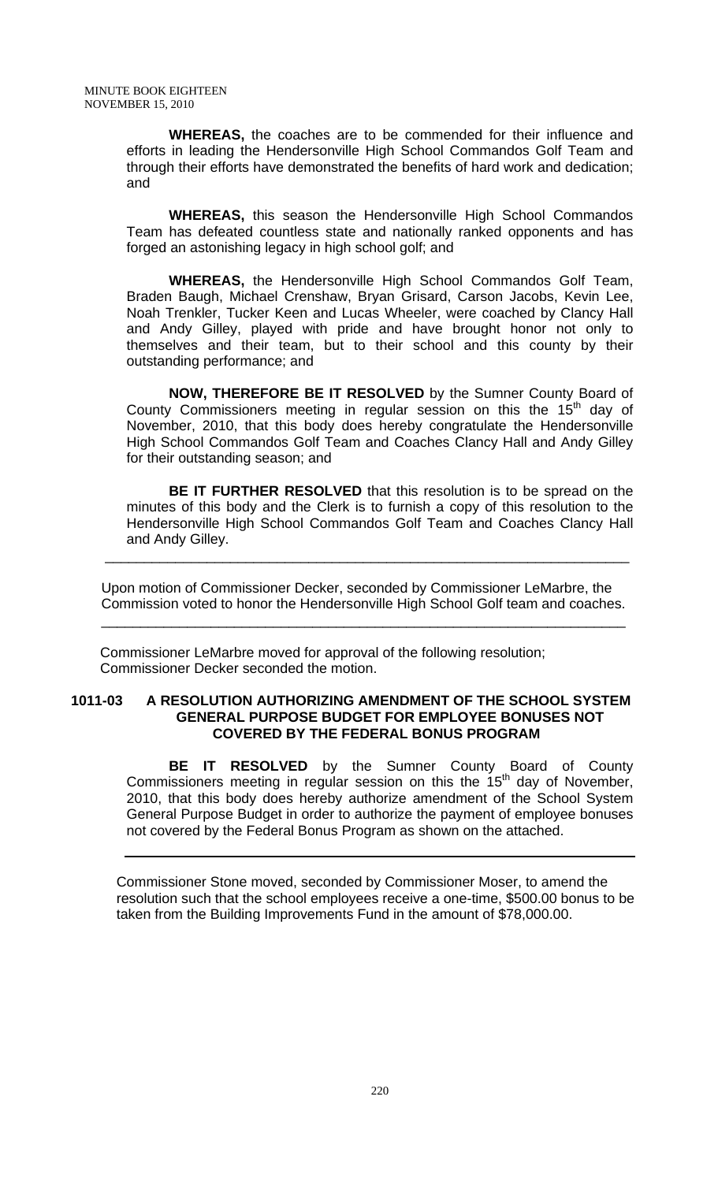**WHEREAS,** the coaches are to be commended for their influence and efforts in leading the Hendersonville High School Commandos Golf Team and through their efforts have demonstrated the benefits of hard work and dedication; and

**WHEREAS,** this season the Hendersonville High School Commandos Team has defeated countless state and nationally ranked opponents and has forged an astonishing legacy in high school golf; and

**WHEREAS,** the Hendersonville High School Commandos Golf Team, Braden Baugh, Michael Crenshaw, Bryan Grisard, Carson Jacobs, Kevin Lee, Noah Trenkler, Tucker Keen and Lucas Wheeler, were coached by Clancy Hall and Andy Gilley, played with pride and have brought honor not only to themselves and their team, but to their school and this county by their outstanding performance; and

**NOW, THEREFORE BE IT RESOLVED** by the Sumner County Board of County Commissioners meeting in regular session on this the  $15<sup>th</sup>$  day of November, 2010, that this body does hereby congratulate the Hendersonville High School Commandos Golf Team and Coaches Clancy Hall and Andy Gilley for their outstanding season; and

**BE IT FURTHER RESOLVED** that this resolution is to be spread on the minutes of this body and the Clerk is to furnish a copy of this resolution to the Hendersonville High School Commandos Golf Team and Coaches Clancy Hall and Andy Gilley.

Upon motion of Commissioner Decker, seconded by Commissioner LeMarbre, the Commission voted to honor the Hendersonville High School Golf team and coaches.

 $\overline{\phantom{a}}$  , and the contribution of the contribution of the contribution of the contribution of the contribution of the contribution of the contribution of the contribution of the contribution of the contribution of the

 $\overline{\phantom{a}}$  ,  $\overline{\phantom{a}}$  ,  $\overline{\phantom{a}}$  ,  $\overline{\phantom{a}}$  ,  $\overline{\phantom{a}}$  ,  $\overline{\phantom{a}}$  ,  $\overline{\phantom{a}}$  ,  $\overline{\phantom{a}}$  ,  $\overline{\phantom{a}}$  ,  $\overline{\phantom{a}}$  ,  $\overline{\phantom{a}}$  ,  $\overline{\phantom{a}}$  ,  $\overline{\phantom{a}}$  ,  $\overline{\phantom{a}}$  ,  $\overline{\phantom{a}}$  ,  $\overline{\phantom{a}}$ 

Commissioner LeMarbre moved for approval of the following resolution; Commissioner Decker seconded the motion.

#### **1011-03 A RESOLUTION AUTHORIZING AMENDMENT OF THE SCHOOL SYSTEM GENERAL PURPOSE BUDGET FOR EMPLOYEE BONUSES NOT COVERED BY THE FEDERAL BONUS PROGRAM**

**BE IT RESOLVED** by the Sumner County Board of County Commissioners meeting in regular session on this the  $15<sup>th</sup>$  day of November, 2010, that this body does hereby authorize amendment of the School System General Purpose Budget in order to authorize the payment of employee bonuses not covered by the Federal Bonus Program as shown on the attached.

Commissioner Stone moved, seconded by Commissioner Moser, to amend the resolution such that the school employees receive a one-time, \$500.00 bonus to be taken from the Building Improvements Fund in the amount of \$78,000.00.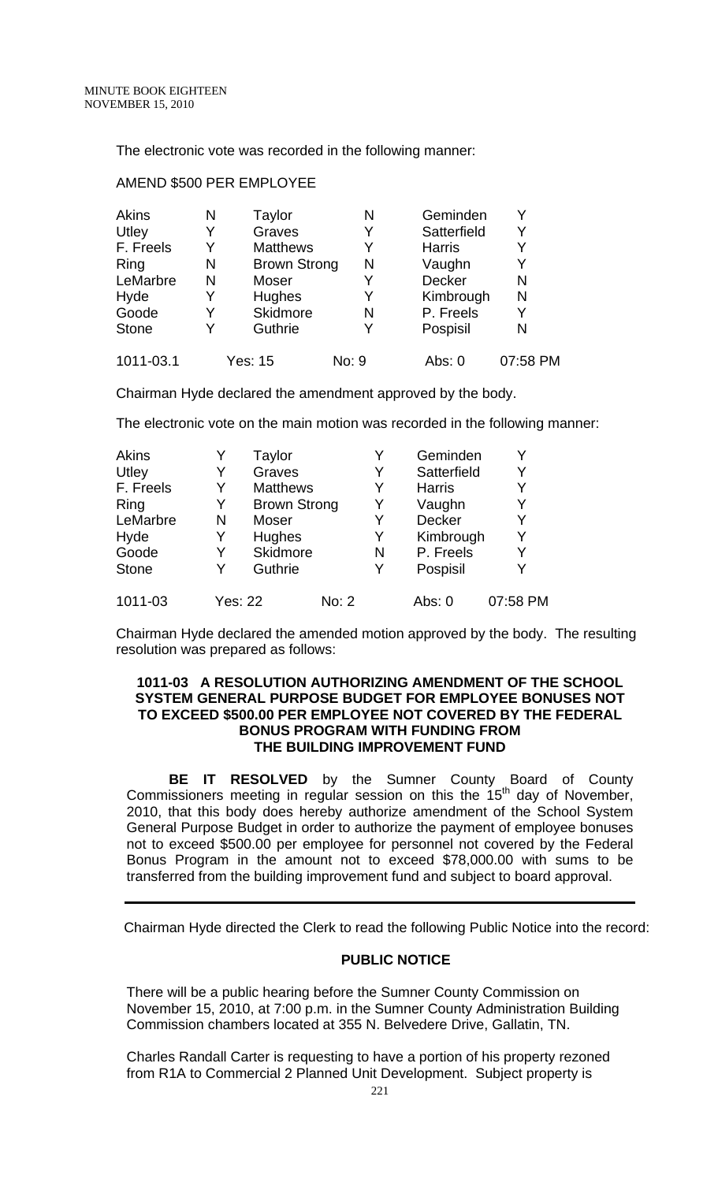The electronic vote was recorded in the following manner:

| Akins        | N | Taylor              | N     | Geminden      | v        |
|--------------|---|---------------------|-------|---------------|----------|
| Utley        | Y | Graves              | Y     | Satterfield   | Y        |
| F. Freels    | Y | <b>Matthews</b>     | Y     | <b>Harris</b> | Y        |
| Ring         | N | <b>Brown Strong</b> | N     | Vaughn        | Y        |
| LeMarbre     | N | Moser               | Y     | <b>Decker</b> | N        |
| Hyde         | Y | <b>Hughes</b>       | Y     | Kimbrough     | N        |
| Goode        | Y | Skidmore            | N     | P. Freels     | Y        |
| <b>Stone</b> | Y | Guthrie             | Y     | Pospisil      | N        |
| 1011-03.1    |   | Yes: 15             | No: 9 | Abs: 0        | 07:58 PM |

#### AMEND \$500 PER EMPLOYEE

Chairman Hyde declared the amendment approved by the body.

The electronic vote on the main motion was recorded in the following manner:

| <b>Akins</b> |                | Taylor              |       |   | Geminden      |          |
|--------------|----------------|---------------------|-------|---|---------------|----------|
| Utley        | Y              | Graves              |       | Y | Satterfield   | Y        |
| F. Freels    | Y              | <b>Matthews</b>     |       | Y | <b>Harris</b> | Y        |
| Ring         | Y              | <b>Brown Strong</b> |       | Y | Vaughn        | Y        |
| LeMarbre     | N              | Moser               |       | Y | <b>Decker</b> | Y        |
| Hyde         | Y              | Hughes              |       | Y | Kimbrough     | Y        |
| Goode        | Y              | Skidmore            |       | N | P. Freels     | Y        |
| <b>Stone</b> | Y              | Guthrie             |       | Y | Pospisil      | Y        |
| 1011-03      | <b>Yes: 22</b> |                     | No: 2 |   | Abs: 0        | 07:58 PM |

Chairman Hyde declared the amended motion approved by the body. The resulting resolution was prepared as follows:

#### **1011-03 A RESOLUTION AUTHORIZING AMENDMENT OF THE SCHOOL SYSTEM GENERAL PURPOSE BUDGET FOR EMPLOYEE BONUSES NOT TO EXCEED \$500.00 PER EMPLOYEE NOT COVERED BY THE FEDERAL BONUS PROGRAM WITH FUNDING FROM THE BUILDING IMPROVEMENT FUND**

**BE IT RESOLVED** by the Sumner County Board of County Commissioners meeting in regular session on this the  $15<sup>th</sup>$  day of November, 2010, that this body does hereby authorize amendment of the School System General Purpose Budget in order to authorize the payment of employee bonuses not to exceed \$500.00 per employee for personnel not covered by the Federal Bonus Program in the amount not to exceed \$78,000.00 with sums to be transferred from the building improvement fund and subject to board approval.

Chairman Hyde directed the Clerk to read the following Public Notice into the record:

### **PUBLIC NOTICE**

There will be a public hearing before the Sumner County Commission on November 15, 2010, at 7:00 p.m. in the Sumner County Administration Building Commission chambers located at 355 N. Belvedere Drive, Gallatin, TN.

Charles Randall Carter is requesting to have a portion of his property rezoned from R1A to Commercial 2 Planned Unit Development. Subject property is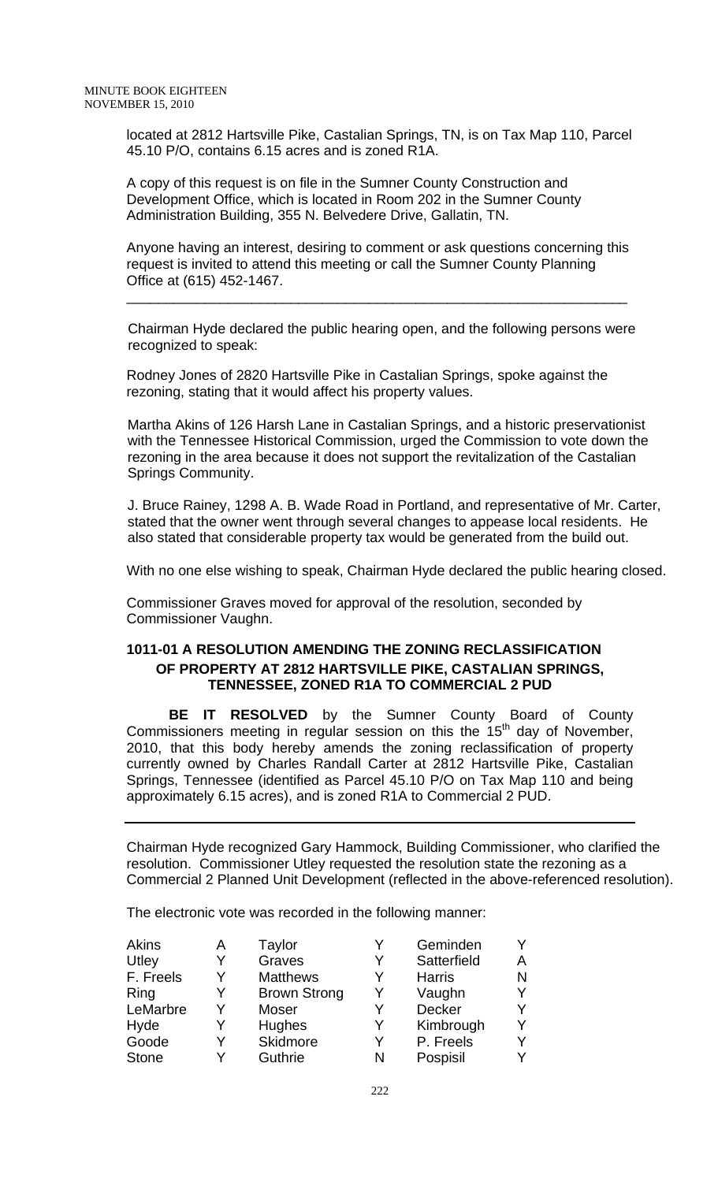located at 2812 Hartsville Pike, Castalian Springs, TN, is on Tax Map 110, Parcel 45.10 P/O, contains 6.15 acres and is zoned R1A.

A copy of this request is on file in the Sumner County Construction and Development Office, which is located in Room 202 in the Sumner County Administration Building, 355 N. Belvedere Drive, Gallatin, TN.

Anyone having an interest, desiring to comment or ask questions concerning this request is invited to attend this meeting or call the Sumner County Planning Office at (615) 452-1467.

\_\_\_\_\_\_\_\_\_\_\_\_\_\_\_\_\_\_\_\_\_\_\_\_\_\_\_\_\_\_\_\_\_\_\_\_\_\_\_\_\_\_\_\_\_\_\_\_\_\_\_\_\_\_\_\_\_\_\_\_\_\_\_\_

 Chairman Hyde declared the public hearing open, and the following persons were recognized to speak:

Rodney Jones of 2820 Hartsville Pike in Castalian Springs, spoke against the rezoning, stating that it would affect his property values.

 Martha Akins of 126 Harsh Lane in Castalian Springs, and a historic preservationist with the Tennessee Historical Commission, urged the Commission to vote down the rezoning in the area because it does not support the revitalization of the Castalian Springs Community.

 J. Bruce Rainey, 1298 A. B. Wade Road in Portland, and representative of Mr. Carter, stated that the owner went through several changes to appease local residents. He also stated that considerable property tax would be generated from the build out.

With no one else wishing to speak, Chairman Hyde declared the public hearing closed.

Commissioner Graves moved for approval of the resolution, seconded by Commissioner Vaughn.

## **1011-01 A RESOLUTION AMENDING THE ZONING RECLASSIFICATION OF PROPERTY AT 2812 HARTSVILLE PIKE, CASTALIAN SPRINGS, TENNESSEE, ZONED R1A TO COMMERCIAL 2 PUD**

 **BE IT RESOLVED** by the Sumner County Board of County Commissioners meeting in regular session on this the 15<sup>th</sup> day of November, 2010, that this body hereby amends the zoning reclassification of property currently owned by Charles Randall Carter at 2812 Hartsville Pike, Castalian Springs, Tennessee (identified as Parcel 45.10 P/O on Tax Map 110 and being approximately 6.15 acres), and is zoned R1A to Commercial 2 PUD.

Chairman Hyde recognized Gary Hammock, Building Commissioner, who clarified the resolution. Commissioner Utley requested the resolution state the rezoning as a Commercial 2 Planned Unit Development (reflected in the above-referenced resolution).

The electronic vote was recorded in the following manner:

| <b>Akins</b> | Α | Taylor              |   | Geminden      |   |
|--------------|---|---------------------|---|---------------|---|
| Utley        |   | Graves              | Y | Satterfield   | А |
| F. Freels    | Y | <b>Matthews</b>     | Y | <b>Harris</b> | N |
| Ring         | Y | <b>Brown Strong</b> | Y | Vaughn        |   |
| LeMarbre     | Y | Moser               | Y | <b>Decker</b> |   |
| Hyde         | Y | <b>Hughes</b>       | Y | Kimbrough     |   |
| Goode        | Y | Skidmore            | Y | P. Freels     |   |
| <b>Stone</b> | Y | Guthrie             | N | Pospisil      |   |
|              |   |                     |   |               |   |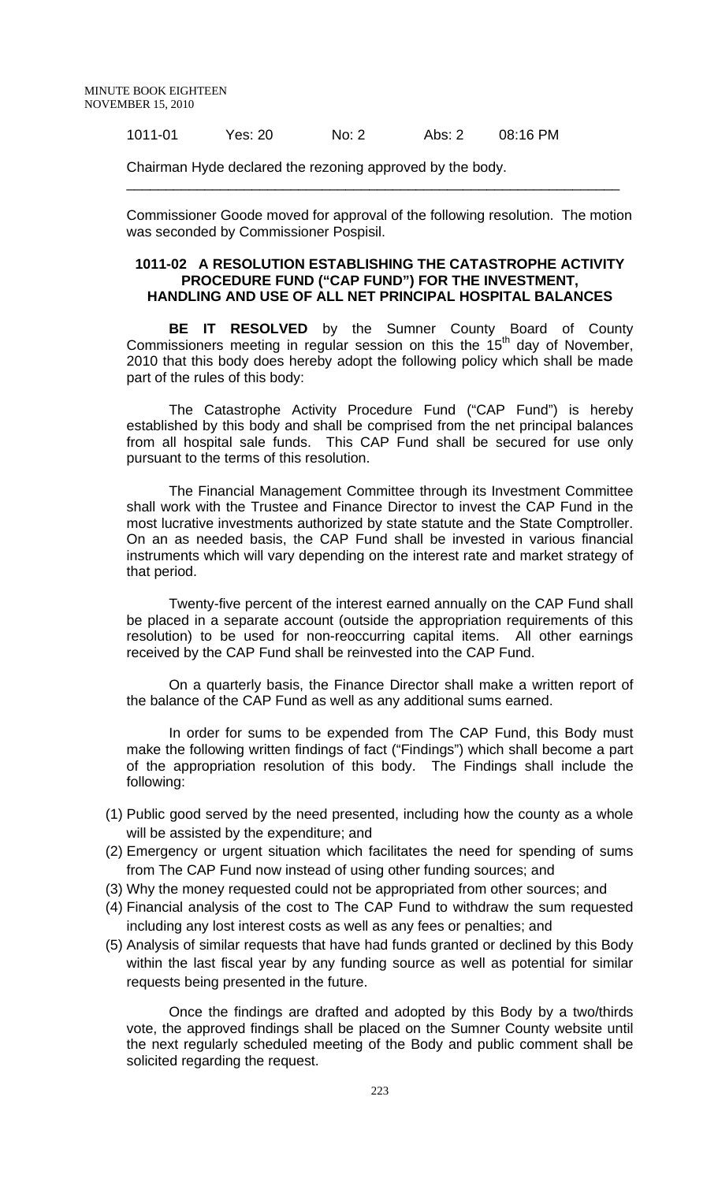1011-01 Yes: 20 No: 2 Abs: 2 08:16 PM

Chairman Hyde declared the rezoning approved by the body.

Commissioner Goode moved for approval of the following resolution. The motion was seconded by Commissioner Pospisil.

\_\_\_\_\_\_\_\_\_\_\_\_\_\_\_\_\_\_\_\_\_\_\_\_\_\_\_\_\_\_\_\_\_\_\_\_\_\_\_\_\_\_\_\_\_\_\_\_\_\_\_\_\_\_\_\_\_\_\_\_\_\_\_

#### **1011-02 A RESOLUTION ESTABLISHING THE CATASTROPHE ACTIVITY PROCEDURE FUND ("CAP FUND") FOR THE INVESTMENT, HANDLING AND USE OF ALL NET PRINCIPAL HOSPITAL BALANCES**

**BE IT RESOLVED** by the Sumner County Board of County Commissioners meeting in regular session on this the  $15<sup>th</sup>$  day of November, 2010 that this body does hereby adopt the following policy which shall be made part of the rules of this body:

The Catastrophe Activity Procedure Fund ("CAP Fund") is hereby established by this body and shall be comprised from the net principal balances from all hospital sale funds. This CAP Fund shall be secured for use only pursuant to the terms of this resolution.

The Financial Management Committee through its Investment Committee shall work with the Trustee and Finance Director to invest the CAP Fund in the most lucrative investments authorized by state statute and the State Comptroller. On an as needed basis, the CAP Fund shall be invested in various financial instruments which will vary depending on the interest rate and market strategy of that period.

Twenty-five percent of the interest earned annually on the CAP Fund shall be placed in a separate account (outside the appropriation requirements of this resolution) to be used for non-reoccurring capital items. All other earnings received by the CAP Fund shall be reinvested into the CAP Fund.

On a quarterly basis, the Finance Director shall make a written report of the balance of the CAP Fund as well as any additional sums earned.

In order for sums to be expended from The CAP Fund, this Body must make the following written findings of fact ("Findings") which shall become a part of the appropriation resolution of this body. The Findings shall include the following:

- (1) Public good served by the need presented, including how the county as a whole will be assisted by the expenditure; and
- (2) Emergency or urgent situation which facilitates the need for spending of sums from The CAP Fund now instead of using other funding sources; and
- (3) Why the money requested could not be appropriated from other sources; and
- (4) Financial analysis of the cost to The CAP Fund to withdraw the sum requested including any lost interest costs as well as any fees or penalties; and
- (5) Analysis of similar requests that have had funds granted or declined by this Body within the last fiscal year by any funding source as well as potential for similar requests being presented in the future.

Once the findings are drafted and adopted by this Body by a two/thirds vote, the approved findings shall be placed on the Sumner County website until the next regularly scheduled meeting of the Body and public comment shall be solicited regarding the request.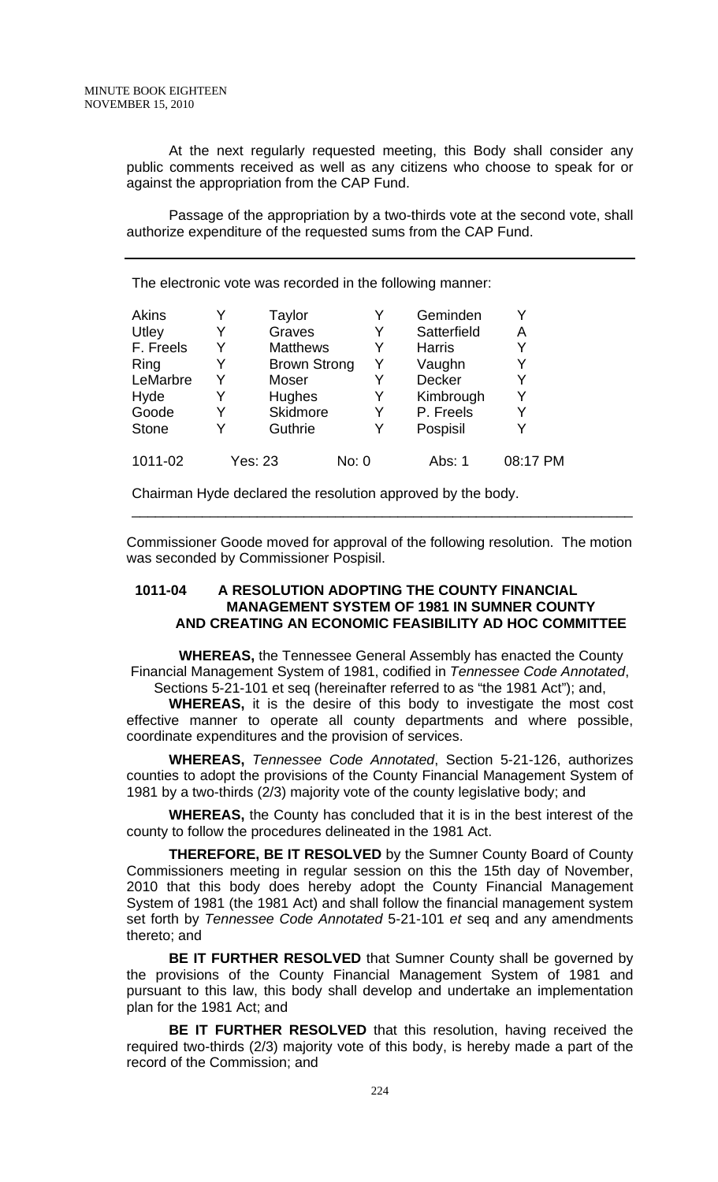At the next regularly requested meeting, this Body shall consider any public comments received as well as any citizens who choose to speak for or against the appropriation from the CAP Fund.

Passage of the appropriation by a two-thirds vote at the second vote, shall authorize expenditure of the requested sums from the CAP Fund.

The electronic vote was recorded in the following manner:

| <b>Akins</b> |   | Taylor              | Y     | Geminden      |          |
|--------------|---|---------------------|-------|---------------|----------|
| Utley        |   | Graves              | Y     | Satterfield   | Α        |
| F. Freels    |   | <b>Matthews</b>     | Y     | <b>Harris</b> | Y        |
| Ring         |   | <b>Brown Strong</b> | Y     | Vaughn        |          |
| LeMarbre     | Y | Moser               | Y     | <b>Decker</b> | Y        |
| Hyde         |   | Hughes              | Y     | Kimbrough     | Y        |
| Goode        |   | Skidmore            | Y     | P. Freels     |          |
| <b>Stone</b> |   | Guthrie             | Y     | Pospisil      | Y        |
| 1011-02      |   | <b>Yes: 23</b>      | No: 0 | Abs: 1        | 08:17 PM |

Chairman Hyde declared the resolution approved by the body.

Commissioner Goode moved for approval of the following resolution. The motion was seconded by Commissioner Pospisil.

\_\_\_\_\_\_\_\_\_\_\_\_\_\_\_\_\_\_\_\_\_\_\_\_\_\_\_\_\_\_\_\_\_\_\_\_\_\_\_\_\_\_\_\_\_\_\_\_\_\_\_\_\_\_\_\_\_\_\_\_\_\_\_\_

### **1011-04 A RESOLUTION ADOPTING THE COUNTY FINANCIAL MANAGEMENT SYSTEM OF 1981 IN SUMNER COUNTY AND CREATING AN ECONOMIC FEASIBILITY AD HOC COMMITTEE**

**WHEREAS,** the Tennessee General Assembly has enacted the County Financial Management System of 1981, codified in *Tennessee Code Annotated*, Sections 5-21-101 et seq (hereinafter referred to as "the 1981 Act"); and,

**WHEREAS,** it is the desire of this body to investigate the most cost effective manner to operate all county departments and where possible, coordinate expenditures and the provision of services.

**WHEREAS,** *Tennessee Code Annotated*, Section 5-21-126, authorizes counties to adopt the provisions of the County Financial Management System of 1981 by a two-thirds (2/3) majority vote of the county legislative body; and

**WHEREAS,** the County has concluded that it is in the best interest of the county to follow the procedures delineated in the 1981 Act.

**THEREFORE, BE IT RESOLVED** by the Sumner County Board of County Commissioners meeting in regular session on this the 15th day of November, 2010 that this body does hereby adopt the County Financial Management System of 1981 (the 1981 Act) and shall follow the financial management system set forth by *Tennessee Code Annotated* 5-21-101 *et* seq and any amendments thereto; and

**BE IT FURTHER RESOLVED** that Sumner County shall be governed by the provisions of the County Financial Management System of 1981 and pursuant to this law, this body shall develop and undertake an implementation plan for the 1981 Act; and

**BE IT FURTHER RESOLVED** that this resolution, having received the required two-thirds (2/3) majority vote of this body, is hereby made a part of the record of the Commission; and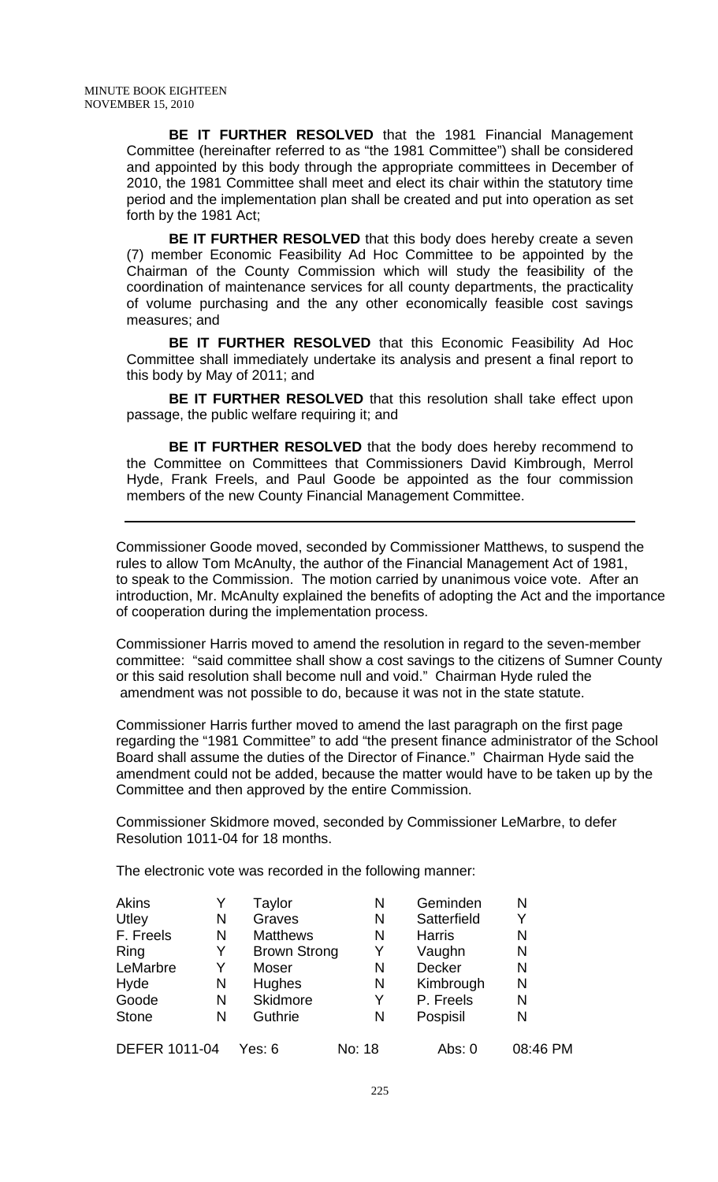**BE IT FURTHER RESOLVED** that the 1981 Financial Management Committee (hereinafter referred to as "the 1981 Committee") shall be considered and appointed by this body through the appropriate committees in December of 2010, the 1981 Committee shall meet and elect its chair within the statutory time period and the implementation plan shall be created and put into operation as set forth by the 1981 Act;

**BE IT FURTHER RESOLVED** that this body does hereby create a seven (7) member Economic Feasibility Ad Hoc Committee to be appointed by the Chairman of the County Commission which will study the feasibility of the coordination of maintenance services for all county departments, the practicality of volume purchasing and the any other economically feasible cost savings measures; and

**BE IT FURTHER RESOLVED** that this Economic Feasibility Ad Hoc Committee shall immediately undertake its analysis and present a final report to this body by May of 2011; and

**BE IT FURTHER RESOLVED** that this resolution shall take effect upon passage, the public welfare requiring it; and

**BE IT FURTHER RESOLVED** that the body does hereby recommend to the Committee on Committees that Commissioners David Kimbrough, Merrol Hyde, Frank Freels, and Paul Goode be appointed as the four commission members of the new County Financial Management Committee.

Commissioner Goode moved, seconded by Commissioner Matthews, to suspend the rules to allow Tom McAnulty, the author of the Financial Management Act of 1981, to speak to the Commission. The motion carried by unanimous voice vote. After an introduction, Mr. McAnulty explained the benefits of adopting the Act and the importance of cooperation during the implementation process.

Commissioner Harris moved to amend the resolution in regard to the seven-member committee: "said committee shall show a cost savings to the citizens of Sumner County or this said resolution shall become null and void." Chairman Hyde ruled the amendment was not possible to do, because it was not in the state statute.

Commissioner Harris further moved to amend the last paragraph on the first page regarding the "1981 Committee" to add "the present finance administrator of the School Board shall assume the duties of the Director of Finance." Chairman Hyde said the amendment could not be added, because the matter would have to be taken up by the Committee and then approved by the entire Commission.

Commissioner Skidmore moved, seconded by Commissioner LeMarbre, to defer Resolution 1011-04 for 18 months.

The electronic vote was recorded in the following manner:

| <b>Akins</b>         |   | Taylor              | N      | Geminden      | N        |
|----------------------|---|---------------------|--------|---------------|----------|
| Utley                | N | Graves              | N      | Satterfield   | Y        |
| F. Freels            | N | <b>Matthews</b>     | N      | <b>Harris</b> | N        |
| Ring                 | Y | <b>Brown Strong</b> | Y      | Vaughn        | N        |
| LeMarbre             | Y | Moser               | N      | Decker        | N        |
| Hyde                 | N | <b>Hughes</b>       | N      | Kimbrough     | N        |
| Goode                | N | <b>Skidmore</b>     | Y      | P. Freels     | N        |
| <b>Stone</b>         | N | Guthrie             | N      | Pospisil      | N        |
| <b>DEFER 1011-04</b> |   | Yes: 6              | No: 18 | Abs: 0        | 08:46 PM |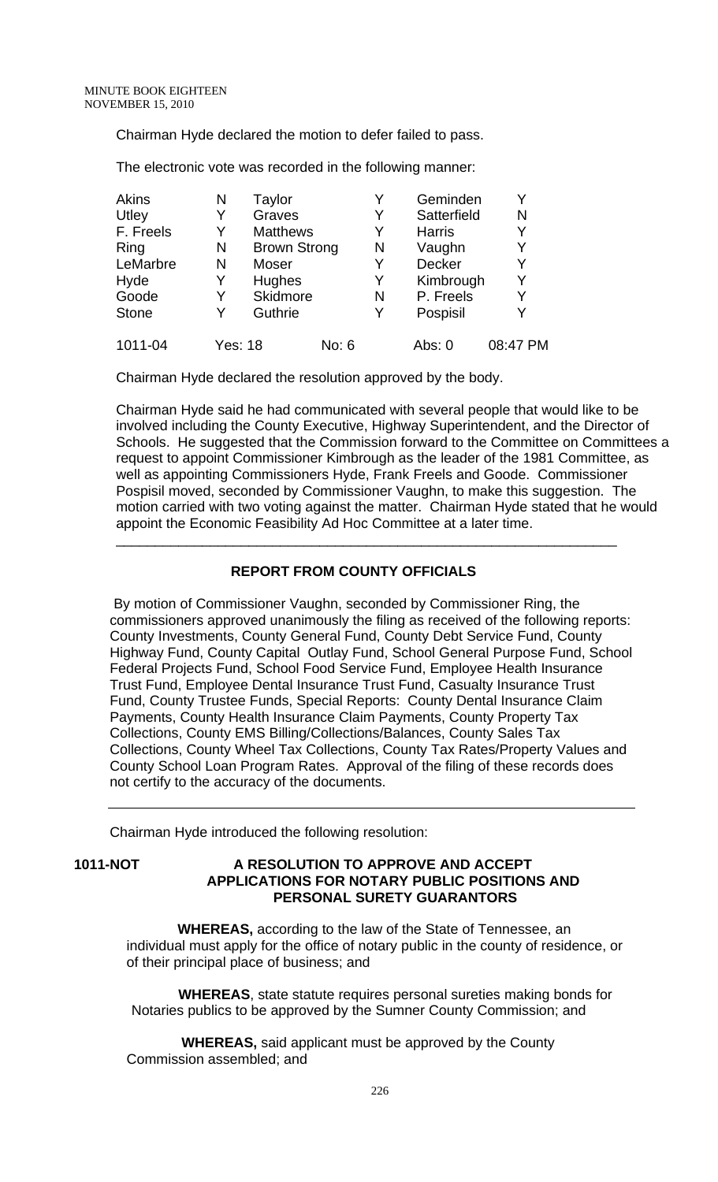Chairman Hyde declared the motion to defer failed to pass.

Akins N Taylor M Y Geminden Y<br>
Utlev Y Graves Y Satterfield N Y Graves Y Satterfield N F. Freels Y Matthews Y Harris Y Ring N Brown Strong N Vaughn Y LeMarbre N Moser Y Decker Y Hyde Y Hughes Y Kimbrough Y Goode Y Skidmore N P. Freels Y Stone Y Guthrie Y Pospisil Y 1011-04 Yes: 18 No: 6 Abs: 0 08:47 PM

The electronic vote was recorded in the following manner:

Chairman Hyde declared the resolution approved by the body.

Chairman Hyde said he had communicated with several people that would like to be involved including the County Executive, Highway Superintendent, and the Director of Schools. He suggested that the Commission forward to the Committee on Committees a request to appoint Commissioner Kimbrough as the leader of the 1981 Committee, as well as appointing Commissioners Hyde, Frank Freels and Goode. Commissioner Pospisil moved, seconded by Commissioner Vaughn, to make this suggestion. The motion carried with two voting against the matter. Chairman Hyde stated that he would appoint the Economic Feasibility Ad Hoc Committee at a later time.

## **REPORT FROM COUNTY OFFICIALS**

\_\_\_\_\_\_\_\_\_\_\_\_\_\_\_\_\_\_\_\_\_\_\_\_\_\_\_\_\_\_\_\_\_\_\_\_\_\_\_\_\_\_\_\_\_\_\_\_\_\_\_\_\_\_\_\_\_\_\_\_\_\_\_\_

 By motion of Commissioner Vaughn, seconded by Commissioner Ring, the commissioners approved unanimously the filing as received of the following reports: County Investments, County General Fund, County Debt Service Fund, County Highway Fund, County Capital Outlay Fund, School General Purpose Fund, School Federal Projects Fund, School Food Service Fund, Employee Health Insurance Trust Fund, Employee Dental Insurance Trust Fund, Casualty Insurance Trust Fund, County Trustee Funds, Special Reports: County Dental Insurance Claim Payments, County Health Insurance Claim Payments, County Property Tax Collections, County EMS Billing/Collections/Balances, County Sales Tax Collections, County Wheel Tax Collections, County Tax Rates/Property Values and County School Loan Program Rates. Approval of the filing of these records does not certify to the accuracy of the documents.

Chairman Hyde introduced the following resolution:

### **1011-NOT A RESOLUTION TO APPROVE AND ACCEPT APPLICATIONS FOR NOTARY PUBLIC POSITIONS AND PERSONAL SURETY GUARANTORS**

 **WHEREAS,** according to the law of the State of Tennessee, an individual must apply for the office of notary public in the county of residence, or of their principal place of business; and

 **WHEREAS**, state statute requires personal sureties making bonds for Notaries publics to be approved by the Sumner County Commission; and

 **WHEREAS,** said applicant must be approved by the County Commission assembled; and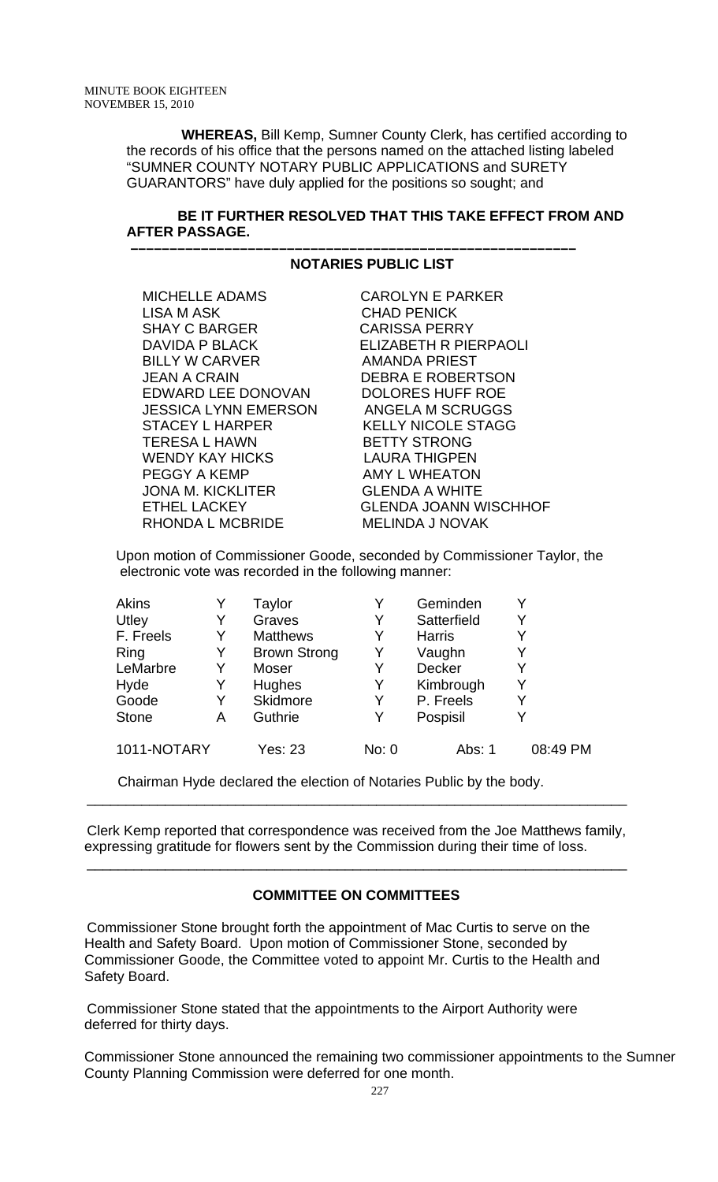**WHEREAS,** Bill Kemp, Sumner County Clerk, has certified according to the records of his office that the persons named on the attached listing labeled "SUMNER COUNTY NOTARY PUBLIC APPLICATIONS and SURETY GUARANTORS" have duly applied for the positions so sought; and

## **BE IT FURTHER RESOLVED THAT THIS TAKE EFFECT FROM AND AFTER PASSAGE.**

## **NOTARIES PUBLIC LIST**

 **–––––––––––––––––––––––––––––––––––––––––––––––––––––––––**

 MICHELLE ADAMS CAROLYN E PARKER LISA M ASK CHAD PENICK SHAY C BARGER CARISSA PERRY DAVIDA P BLACK ELIZABETH R PIERPAOLI BILLY W CARVER AMANDA PRIEST JEAN A CRAIN DEBRA E ROBERTSON EDWARD LEE DONOVAN DOLORES HUFF ROE JESSICA LYNN EMERSON ANGELA M SCRUGGS STACEY L HARPER KELLY NICOLE STAGG TERESA L HAWN BETTY STRONG WENDY KAY HICKS LAURA THIGPEN PEGGY A KEMP AMY L WHEATON JONA M. KICKLITER GLENDA A WHITE RHONDA L MCBRIDE

ETHEL LACKEY<br>RHONDA L MCBRIDE MELINDA J NOVAK

Upon motion of Commissioner Goode, seconded by Commissioner Taylor, the electronic vote was recorded in the following manner:

| Akins        |   | Taylor              |       | Geminden      |          |
|--------------|---|---------------------|-------|---------------|----------|
| Utley        | Y | Graves              | Y     | Satterfield   | Y        |
| F. Freels    | Y | <b>Matthews</b>     | Y     | <b>Harris</b> |          |
| Ring         | Y | <b>Brown Strong</b> | Y     | Vaughn        |          |
| LeMarbre     | Y | Moser               | Y     | Decker        |          |
| Hyde         | Y | Hughes              | Y     | Kimbrough     | Y        |
| Goode        | Y | Skidmore            | Y     | P. Freels     |          |
| <b>Stone</b> | Α | Guthrie             | Y     | Pospisil      |          |
| 1011-NOTARY  |   | <b>Yes: 23</b>      | No: 0 | Abs: 1        | 08:49 PM |

Chairman Hyde declared the election of Notaries Public by the body.

 Clerk Kemp reported that correspondence was received from the Joe Matthews family, expressing gratitude for flowers sent by the Commission during their time of loss.

 $\overline{\phantom{a}}$  , and the contribution of the contribution of the contribution of the contribution of the contribution of  $\overline{\phantom{a}}$ 

 $\overline{\phantom{a}}$  , and the contribution of the contribution of the contribution of the contribution of the contribution of  $\overline{\phantom{a}}$ 

## **COMMITTEE ON COMMITTEES**

 Commissioner Stone brought forth the appointment of Mac Curtis to serve on the Health and Safety Board. Upon motion of Commissioner Stone, seconded by Commissioner Goode, the Committee voted to appoint Mr. Curtis to the Health and Safety Board.

 Commissioner Stone stated that the appointments to the Airport Authority were deferred for thirty days.

Commissioner Stone announced the remaining two commissioner appointments to the Sumner County Planning Commission were deferred for one month.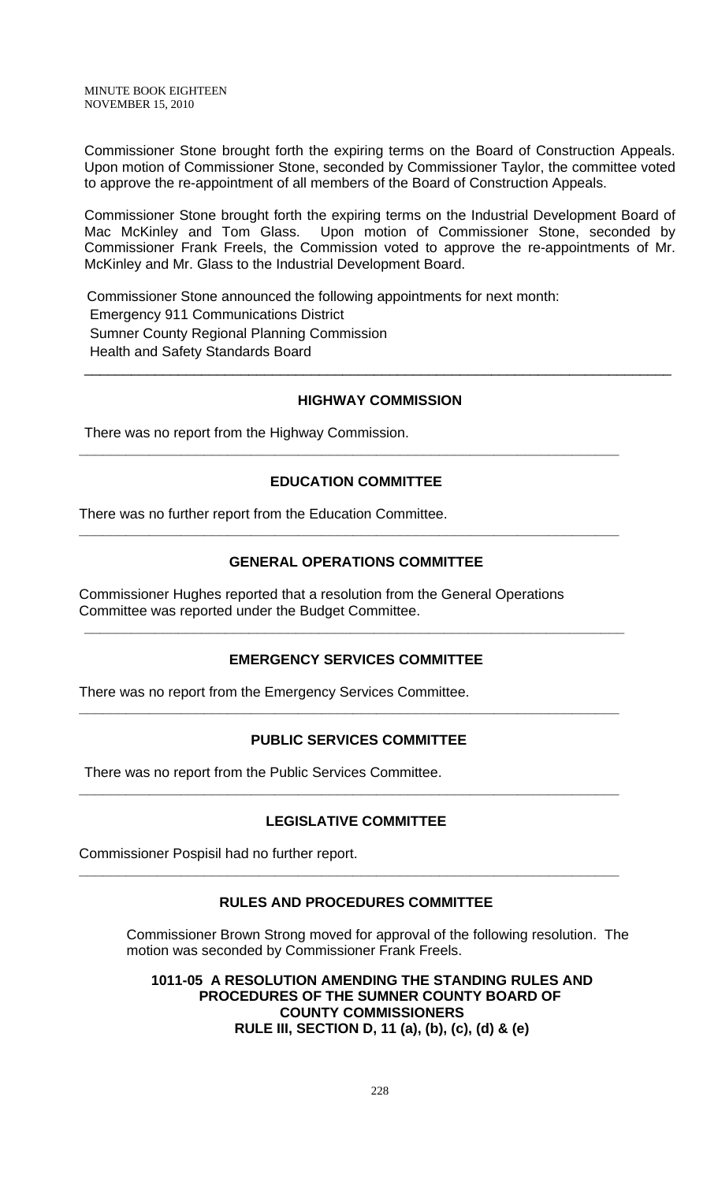MINUTE BOOK EIGHTEEN NOVEMBER 15, 2010

Commissioner Stone brought forth the expiring terms on the Board of Construction Appeals. Upon motion of Commissioner Stone, seconded by Commissioner Taylor, the committee voted to approve the re-appointment of all members of the Board of Construction Appeals.

Commissioner Stone brought forth the expiring terms on the Industrial Development Board of Mac McKinley and Tom Glass. Upon motion of Commissioner Stone, seconded by Commissioner Frank Freels, the Commission voted to approve the re-appointments of Mr. McKinley and Mr. Glass to the Industrial Development Board.

 Commissioner Stone announced the following appointments for next month: Emergency 911 Communications District Sumner County Regional Planning Commission Health and Safety Standards Board \_\_\_\_\_\_\_\_\_\_\_\_\_\_\_\_\_\_\_\_\_\_\_\_\_\_\_\_\_\_\_\_\_\_\_\_\_\_\_\_\_\_\_\_\_\_\_\_\_\_\_\_\_\_\_\_\_\_\_\_\_\_\_\_\_\_\_\_\_\_\_\_\_\_\_

#### **HIGHWAY COMMISSION**

There was no report from the Highway Commission.

## **EDUCATION COMMITTEE**

**\_\_\_\_\_\_\_\_\_\_\_\_\_\_\_\_\_\_\_\_\_\_\_\_\_\_\_\_\_\_\_\_\_\_\_\_\_\_\_\_\_\_\_\_\_\_\_\_\_\_\_\_\_\_\_\_\_\_\_\_\_\_\_\_\_\_\_\_\_** 

There was no further report from the Education Committee.

### **GENERAL OPERATIONS COMMITTEE**

**\_\_\_\_\_\_\_\_\_\_\_\_\_\_\_\_\_\_\_\_\_\_\_\_\_\_\_\_\_\_\_\_\_\_\_\_\_\_\_\_\_\_\_\_\_\_\_\_\_\_\_\_\_\_\_\_\_\_\_\_\_\_\_\_\_\_\_\_\_** 

Commissioner Hughes reported that a resolution from the General Operations Committee was reported under the Budget Committee.

### **EMERGENCY SERVICES COMMITTEE**

**\_\_\_\_\_\_\_\_\_\_\_\_\_\_\_\_\_\_\_\_\_\_\_\_\_\_\_\_\_\_\_\_\_\_\_\_\_\_\_\_\_\_\_\_\_\_\_\_\_\_\_\_\_\_\_\_\_\_\_\_\_\_\_\_\_\_\_\_\_** 

There was no report from the Emergency Services Committee.

### **PUBLIC SERVICES COMMITTEE**

**\_\_\_\_\_\_\_\_\_\_\_\_\_\_\_\_\_\_\_\_\_\_\_\_\_\_\_\_\_\_\_\_\_\_\_\_\_\_\_\_\_\_\_\_\_\_\_\_\_\_\_\_\_\_\_\_\_\_\_\_\_\_\_\_\_\_\_\_\_** 

There was no report from the Public Services Committee.

### **LEGISLATIVE COMMITTEE**

**\_\_\_\_\_\_\_\_\_\_\_\_\_\_\_\_\_\_\_\_\_\_\_\_\_\_\_\_\_\_\_\_\_\_\_\_\_\_\_\_\_\_\_\_\_\_\_\_\_\_\_\_\_\_\_\_\_\_\_\_\_\_\_\_\_\_\_\_\_** 

Commissioner Pospisil had no further report.

### **RULES AND PROCEDURES COMMITTEE**

**\_\_\_\_\_\_\_\_\_\_\_\_\_\_\_\_\_\_\_\_\_\_\_\_\_\_\_\_\_\_\_\_\_\_\_\_\_\_\_\_\_\_\_\_\_\_\_\_\_\_\_\_\_\_\_\_\_\_\_\_\_\_\_\_\_\_\_\_\_** 

Commissioner Brown Strong moved for approval of the following resolution. The motion was seconded by Commissioner Frank Freels.

**1011-05 A RESOLUTION AMENDING THE STANDING RULES AND PROCEDURES OF THE SUMNER COUNTY BOARD OF COUNTY COMMISSIONERS RULE III, SECTION D, 11 (a), (b), (c), (d) & (e)**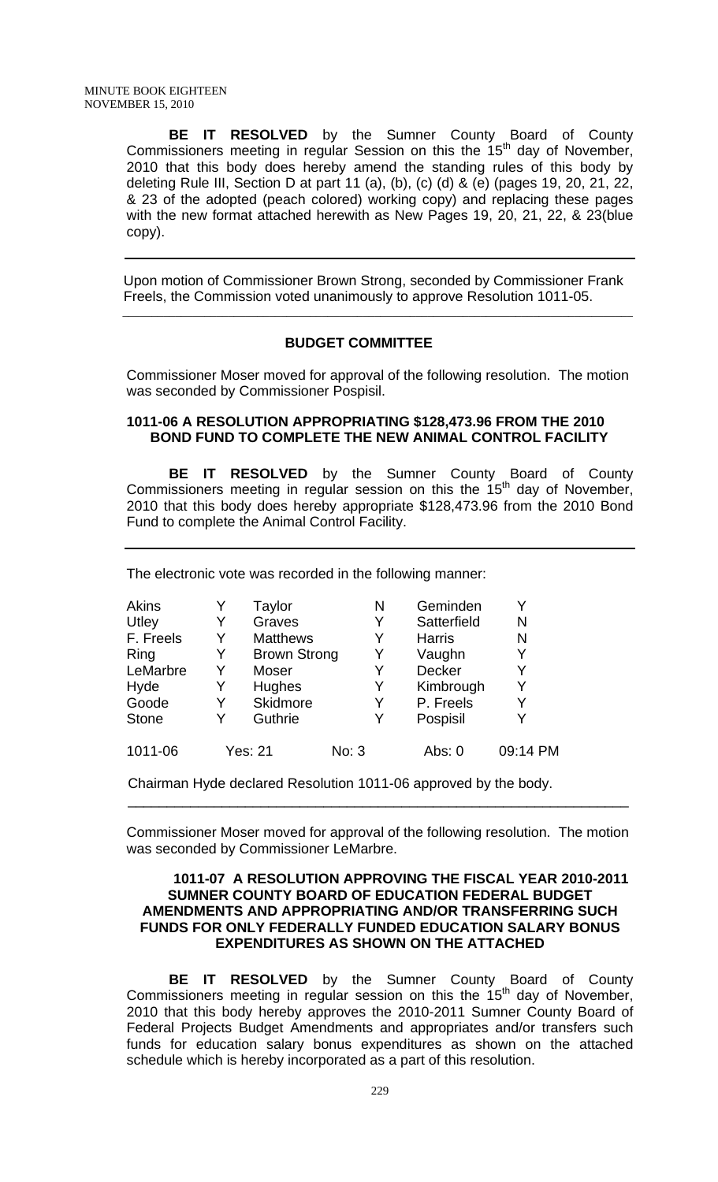**BE IT RESOLVED** by the Sumner County Board of County Commissioners meeting in regular Session on this the  $15<sup>th</sup>$  day of November, 2010 that this body does hereby amend the standing rules of this body by deleting Rule III, Section D at part 11 (a), (b), (c) (d) & (e) (pages 19, 20, 21, 22, & 23 of the adopted (peach colored) working copy) and replacing these pages with the new format attached herewith as New Pages 19, 20, 21, 22, & 23(blue copy).

 Upon motion of Commissioner Brown Strong, seconded by Commissioner Frank Freels, the Commission voted unanimously to approve Resolution 1011-05.

\_\_\_\_\_\_\_\_\_\_\_\_\_\_\_\_\_\_\_\_\_\_\_\_\_\_\_\_\_\_\_\_\_\_\_\_\_\_\_\_\_\_\_\_\_\_\_\_\_\_\_\_\_\_\_\_\_\_\_\_\_\_\_\_\_\_\_\_\_\_\_\_\_\_\_\_\_\_\_\_\_\_\_\_\_\_\_

### **BUDGET COMMITTEE**

Commissioner Moser moved for approval of the following resolution. The motion was seconded by Commissioner Pospisil.

#### **1011-06 A RESOLUTION APPROPRIATING \$128,473.96 FROM THE 2010 BOND FUND TO COMPLETE THE NEW ANIMAL CONTROL FACILITY**

 **BE IT RESOLVED** by the Sumner County Board of County Commissioners meeting in regular session on this the  $15<sup>th</sup>$  day of November, 2010 that this body does hereby appropriate \$128,473.96 from the 2010 Bond Fund to complete the Animal Control Facility.

The electronic vote was recorded in the following manner:

| <b>Akins</b> |   | Taylor              | Ν     | Geminden      | Y        |
|--------------|---|---------------------|-------|---------------|----------|
| Utley        | Y | Graves              | Y     | Satterfield   | N        |
| F. Freels    | Y | <b>Matthews</b>     | Y     | <b>Harris</b> | N        |
| Ring         | Y | <b>Brown Strong</b> | Y     | Vaughn        | Y        |
| LeMarbre     | Y | Moser               | Y     | <b>Decker</b> | Y        |
| Hyde         | Y | <b>Hughes</b>       | Y     | Kimbrough     | Y        |
| Goode        | Y | Skidmore            | Y     | P. Freels     | Y        |
| <b>Stone</b> | Y | Guthrie             | Y     | Pospisil      | Y        |
| 1011-06      |   | <b>Yes: 21</b>      | No: 3 | Abs: 0        | 09:14 PM |

Chairman Hyde declared Resolution 1011-06 approved by the body.

Commissioner Moser moved for approval of the following resolution. The motion was seconded by Commissioner LeMarbre.

 $\overline{\phantom{a}}$  , and the contribution of the contribution of the contribution of the contribution of the contribution of the contribution of the contribution of the contribution of the contribution of the contribution of the

#### **1011-07 A RESOLUTION APPROVING THE FISCAL YEAR 2010-2011 SUMNER COUNTY BOARD OF EDUCATION FEDERAL BUDGET AMENDMENTS AND APPROPRIATING AND/OR TRANSFERRING SUCH FUNDS FOR ONLY FEDERALLY FUNDED EDUCATION SALARY BONUS EXPENDITURES AS SHOWN ON THE ATTACHED**

**BE IT RESOLVED** by the Sumner County Board of County Commissioners meeting in regular session on this the  $15<sup>th</sup>$  day of November, 2010 that this body hereby approves the 2010-2011 Sumner County Board of Federal Projects Budget Amendments and appropriates and/or transfers such funds for education salary bonus expenditures as shown on the attached schedule which is hereby incorporated as a part of this resolution.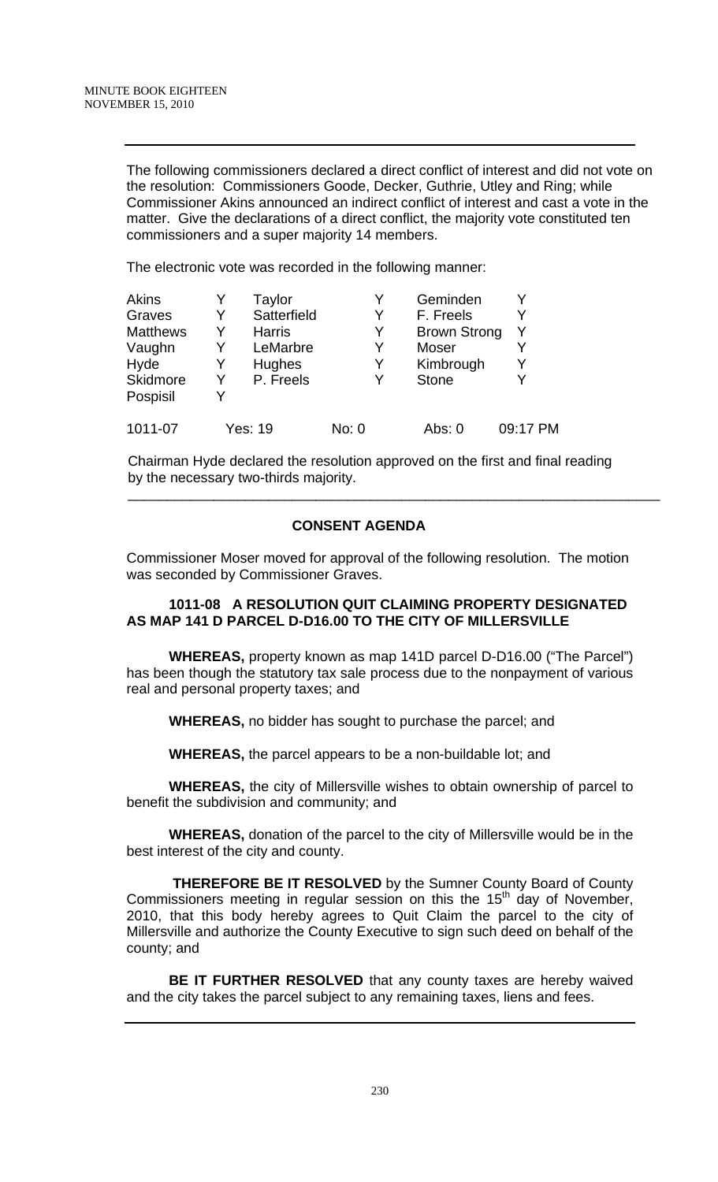The following commissioners declared a direct conflict of interest and did not vote on the resolution: Commissioners Goode, Decker, Guthrie, Utley and Ring; while Commissioner Akins announced an indirect conflict of interest and cast a vote in the matter. Give the declarations of a direct conflict, the majority vote constituted ten commissioners and a super majority 14 members.

The electronic vote was recorded in the following manner:

| <b>Akins</b>    |   | Taylor        | Y     | Geminden            |          |
|-----------------|---|---------------|-------|---------------------|----------|
| Graves          | Y | Satterfield   | Y     | F. Freels           | Y        |
| <b>Matthews</b> | Y | <b>Harris</b> | Y     | <b>Brown Strong</b> | Y        |
| Vaughn          | Y | LeMarbre      | Y     | <b>Moser</b>        | Y        |
| Hyde            | Y | Hughes        | Y     | Kimbrough           | Y        |
| Skidmore        | Y | P. Freels     | Y     | <b>Stone</b>        | Y        |
| Pospisil        | Y |               |       |                     |          |
| 1011-07         |   | Yes: 19       | No: 0 | Abs: 0              | 09:17 PM |

 Chairman Hyde declared the resolution approved on the first and final reading by the necessary two-thirds majority.

 $\overline{\phantom{a}}$  , and the contribution of the contribution of the contribution of the contribution of the contribution of the contribution of the contribution of the contribution of the contribution of the contribution of the

## **CONSENT AGENDA**

Commissioner Moser moved for approval of the following resolution. The motion was seconded by Commissioner Graves.

## **1011-08 A RESOLUTION QUIT CLAIMING PROPERTY DESIGNATED AS MAP 141 D PARCEL D-D16.00 TO THE CITY OF MILLERSVILLE**

**WHEREAS,** property known as map 141D parcel D-D16.00 ("The Parcel") has been though the statutory tax sale process due to the nonpayment of various real and personal property taxes; and

**WHEREAS,** no bidder has sought to purchase the parcel; and

**WHEREAS,** the parcel appears to be a non-buildable lot; and

**WHEREAS,** the city of Millersville wishes to obtain ownership of parcel to benefit the subdivision and community; and

 **WHEREAS,** donation of the parcel to the city of Millersville would be in the best interest of the city and county.

 **THEREFORE BE IT RESOLVED** by the Sumner County Board of County Commissioners meeting in regular session on this the 15<sup>th</sup> day of November, 2010, that this body hereby agrees to Quit Claim the parcel to the city of Millersville and authorize the County Executive to sign such deed on behalf of the county; and

**BE IT FURTHER RESOLVED** that any county taxes are hereby waived and the city takes the parcel subject to any remaining taxes, liens and fees.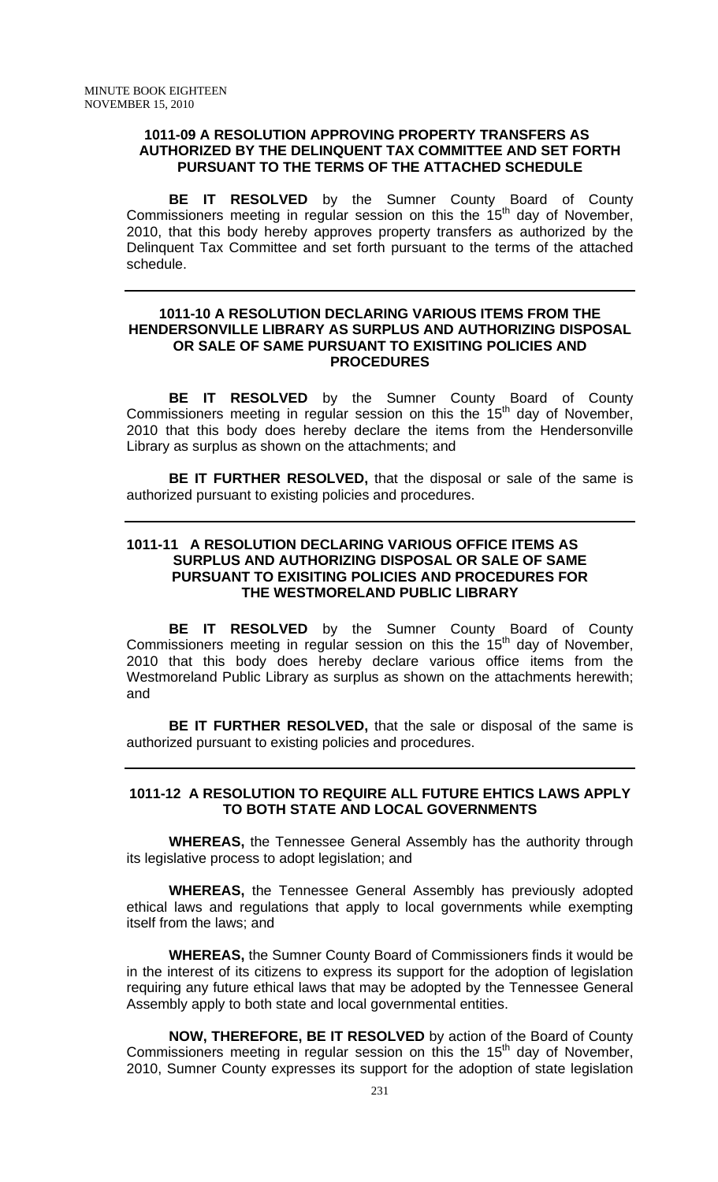#### **1011-09 A RESOLUTION APPROVING PROPERTY TRANSFERS AS AUTHORIZED BY THE DELINQUENT TAX COMMITTEE AND SET FORTH PURSUANT TO THE TERMS OF THE ATTACHED SCHEDULE**

**BE IT RESOLVED** by the Sumner County Board of County Commissioners meeting in regular session on this the  $15<sup>th</sup>$  day of November, 2010, that this body hereby approves property transfers as authorized by the Delinquent Tax Committee and set forth pursuant to the terms of the attached schedule.

#### **1011-10 A RESOLUTION DECLARING VARIOUS ITEMS FROM THE HENDERSONVILLE LIBRARY AS SURPLUS AND AUTHORIZING DISPOSAL OR SALE OF SAME PURSUANT TO EXISITING POLICIES AND PROCEDURES**

 **BE IT RESOLVED** by the Sumner County Board of County Commissioners meeting in regular session on this the  $15<sup>th</sup>$  day of November, 2010 that this body does hereby declare the items from the Hendersonville Library as surplus as shown on the attachments; and

**BE IT FURTHER RESOLVED,** that the disposal or sale of the same is authorized pursuant to existing policies and procedures.

## **1011-11 A RESOLUTION DECLARING VARIOUS OFFICE ITEMS AS SURPLUS AND AUTHORIZING DISPOSAL OR SALE OF SAME PURSUANT TO EXISITING POLICIES AND PROCEDURES FOR THE WESTMORELAND PUBLIC LIBRARY**

 **BE IT RESOLVED** by the Sumner County Board of County Commissioners meeting in regular session on this the  $15<sup>th</sup>$  day of November, 2010 that this body does hereby declare various office items from the Westmoreland Public Library as surplus as shown on the attachments herewith; and

**BE IT FURTHER RESOLVED,** that the sale or disposal of the same is authorized pursuant to existing policies and procedures.

### **1011-12 A RESOLUTION TO REQUIRE ALL FUTURE EHTICS LAWS APPLY TO BOTH STATE AND LOCAL GOVERNMENTS**

**WHEREAS,** the Tennessee General Assembly has the authority through its legislative process to adopt legislation; and

**WHEREAS,** the Tennessee General Assembly has previously adopted ethical laws and regulations that apply to local governments while exempting itself from the laws; and

**WHEREAS,** the Sumner County Board of Commissioners finds it would be in the interest of its citizens to express its support for the adoption of legislation requiring any future ethical laws that may be adopted by the Tennessee General Assembly apply to both state and local governmental entities.

**NOW, THEREFORE, BE IT RESOLVED** by action of the Board of County Commissioners meeting in regular session on this the  $15<sup>th</sup>$  day of November, 2010, Sumner County expresses its support for the adoption of state legislation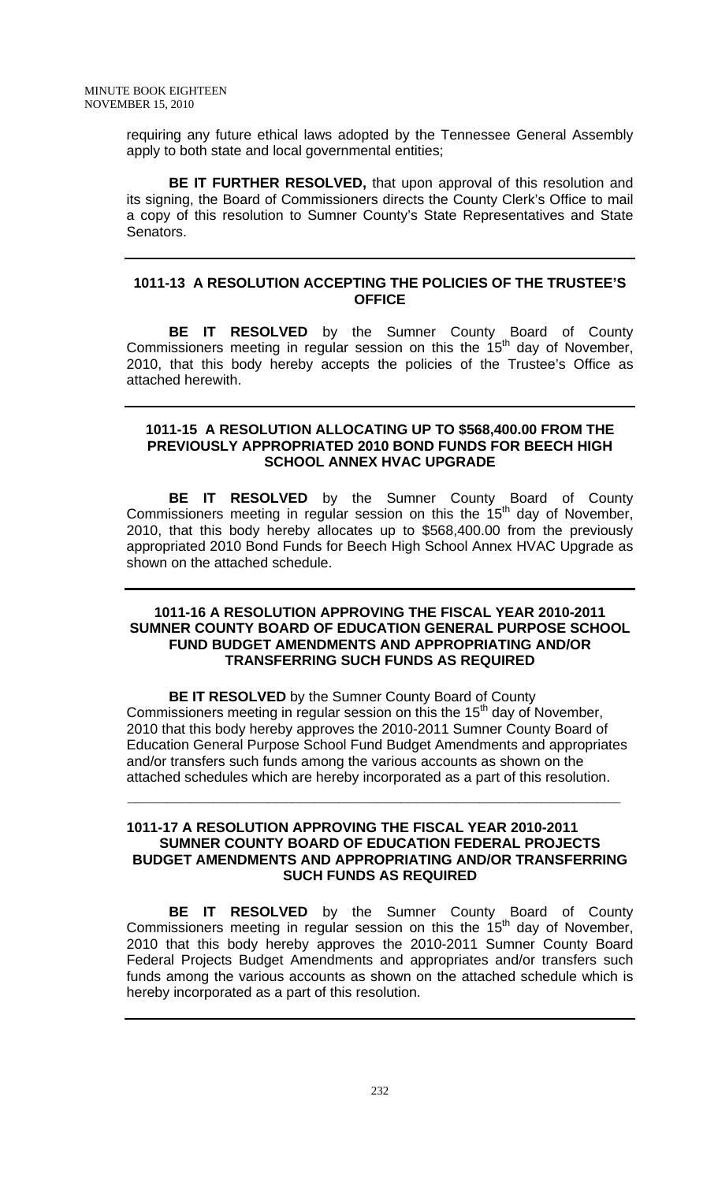requiring any future ethical laws adopted by the Tennessee General Assembly apply to both state and local governmental entities;

**BE IT FURTHER RESOLVED,** that upon approval of this resolution and its signing, the Board of Commissioners directs the County Clerk's Office to mail a copy of this resolution to Sumner County's State Representatives and State Senators.

### **1011-13 A RESOLUTION ACCEPTING THE POLICIES OF THE TRUSTEE'S OFFICE**

**BE IT RESOLVED** by the Sumner County Board of County Commissioners meeting in regular session on this the  $15<sup>th</sup>$  day of November, 2010, that this body hereby accepts the policies of the Trustee's Office as attached herewith.

#### **1011-15 A RESOLUTION ALLOCATING UP TO \$568,400.00 FROM THE PREVIOUSLY APPROPRIATED 2010 BOND FUNDS FOR BEECH HIGH SCHOOL ANNEX HVAC UPGRADE**

 **BE IT RESOLVED** by the Sumner County Board of County Commissioners meeting in regular session on this the  $15<sup>th</sup>$  day of November, 2010, that this body hereby allocates up to \$568,400.00 from the previously appropriated 2010 Bond Funds for Beech High School Annex HVAC Upgrade as shown on the attached schedule.

### **1011-16 A RESOLUTION APPROVING THE FISCAL YEAR 2010-2011 SUMNER COUNTY BOARD OF EDUCATION GENERAL PURPOSE SCHOOL FUND BUDGET AMENDMENTS AND APPROPRIATING AND/OR TRANSFERRING SUCH FUNDS AS REQUIRED**

**BE IT RESOLVED** by the Sumner County Board of County Commissioners meeting in regular session on this the  $15<sup>th</sup>$  day of November, 2010 that this body hereby approves the 2010-2011 Sumner County Board of Education General Purpose School Fund Budget Amendments and appropriates and/or transfers such funds among the various accounts as shown on the attached schedules which are hereby incorporated as a part of this resolution.

## **1011-17 A RESOLUTION APPROVING THE FISCAL YEAR 2010-2011 SUMNER COUNTY BOARD OF EDUCATION FEDERAL PROJECTS BUDGET AMENDMENTS AND APPROPRIATING AND/OR TRANSFERRING SUCH FUNDS AS REQUIRED**

 **\_\_\_\_\_\_\_\_\_\_\_\_\_\_\_\_\_\_\_\_\_\_\_\_\_\_\_\_\_\_\_\_\_\_\_\_\_\_\_\_\_\_\_\_\_\_\_\_\_\_\_\_\_\_\_\_\_\_\_\_\_\_\_**

 **BE IT RESOLVED** by the Sumner County Board of County Commissioners meeting in regular session on this the 15<sup>th</sup> day of November, 2010 that this body hereby approves the 2010-2011 Sumner County Board Federal Projects Budget Amendments and appropriates and/or transfers such funds among the various accounts as shown on the attached schedule which is hereby incorporated as a part of this resolution.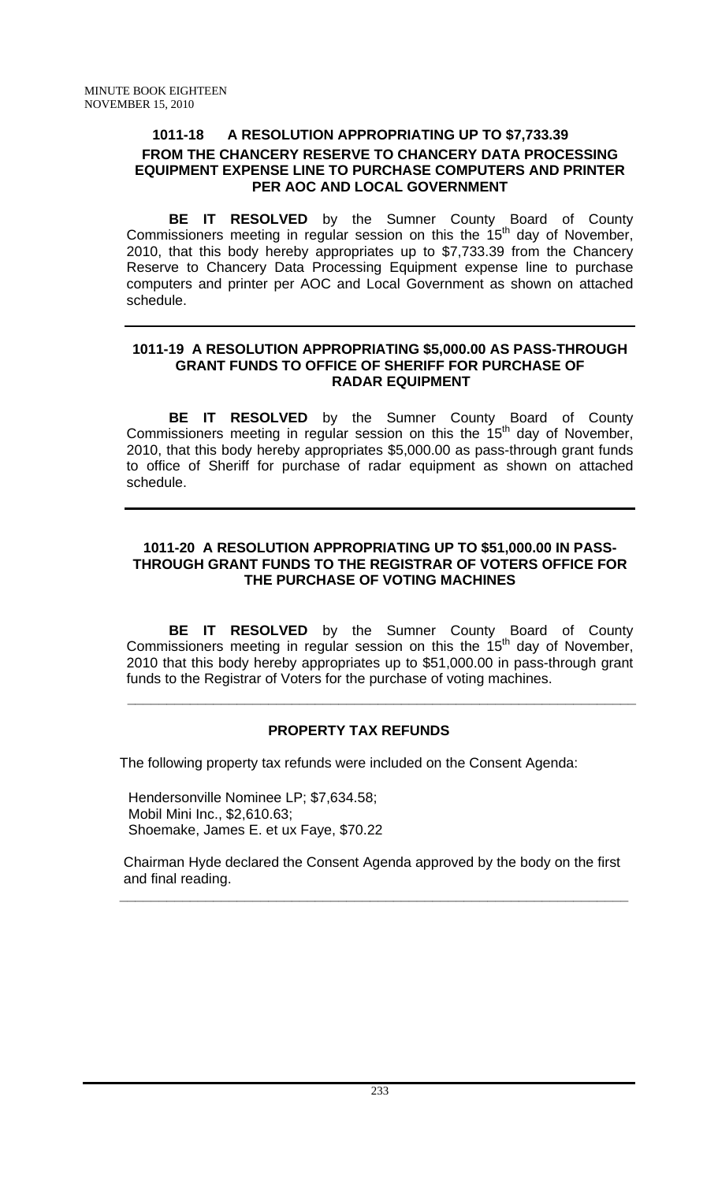## **1011-18 A RESOLUTION APPROPRIATING UP TO \$7,733.39 FROM THE CHANCERY RESERVE TO CHANCERY DATA PROCESSING EQUIPMENT EXPENSE LINE TO PURCHASE COMPUTERS AND PRINTER PER AOC AND LOCAL GOVERNMENT**

 **BE IT RESOLVED** by the Sumner County Board of County Commissioners meeting in regular session on this the  $15<sup>th</sup>$  day of November, 2010, that this body hereby appropriates up to \$7,733.39 from the Chancery Reserve to Chancery Data Processing Equipment expense line to purchase computers and printer per AOC and Local Government as shown on attached schedule.

### **1011-19 A RESOLUTION APPROPRIATING \$5,000.00 AS PASS-THROUGH GRANT FUNDS TO OFFICE OF SHERIFF FOR PURCHASE OF RADAR EQUIPMENT**

**BE IT RESOLVED** by the Sumner County Board of County Commissioners meeting in regular session on this the  $15<sup>th</sup>$  day of November, 2010, that this body hereby appropriates \$5,000.00 as pass-through grant funds to office of Sheriff for purchase of radar equipment as shown on attached schedule.

## **1011-20 A RESOLUTION APPROPRIATING UP TO \$51,000.00 IN PASS-THROUGH GRANT FUNDS TO THE REGISTRAR OF VOTERS OFFICE FOR THE PURCHASE OF VOTING MACHINES**

**BE IT RESOLVED** by the Sumner County Board of County Commissioners meeting in regular session on this the 15<sup>th</sup> day of November, 2010 that this body hereby appropriates up to \$51,000.00 in pass-through grant funds to the Registrar of Voters for the purchase of voting machines.

## **PROPERTY TAX REFUNDS**

 **\_\_\_\_\_\_\_\_\_\_\_\_\_\_\_\_\_\_\_\_\_\_\_\_\_\_\_\_\_\_\_\_\_\_\_\_\_\_\_\_\_\_\_\_\_\_\_\_\_\_\_\_\_\_\_\_\_\_\_\_\_\_\_\_\_**

The following property tax refunds were included on the Consent Agenda:

Hendersonville Nominee LP; \$7,634.58; Mobil Mini Inc., \$2,610.63; Shoemake, James E. et ux Faye, \$70.22

 Chairman Hyde declared the Consent Agenda approved by the body on the first and final reading.

 **\_\_\_\_\_\_\_\_\_\_\_\_\_\_\_\_\_\_\_\_\_\_\_\_\_\_\_\_\_\_\_\_\_\_\_\_\_\_\_\_\_\_\_\_\_\_\_\_\_\_\_\_\_\_\_\_\_\_\_\_\_\_\_\_\_**